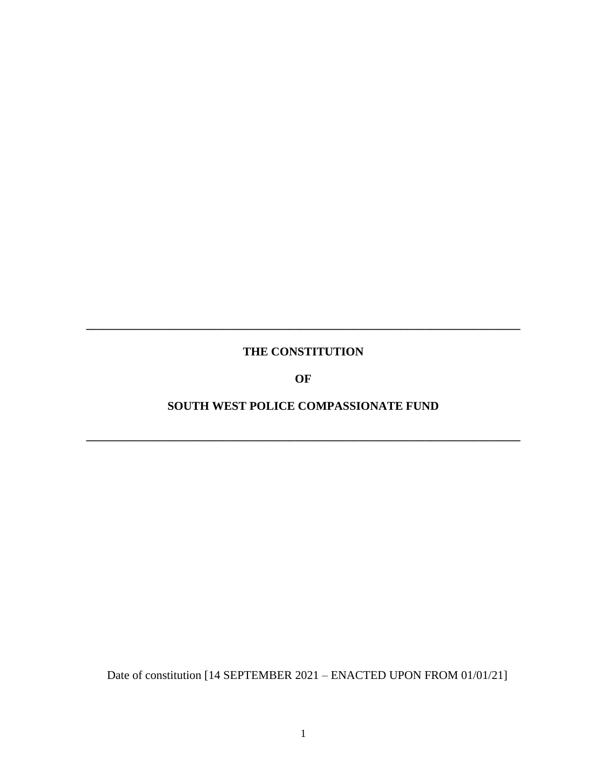# **THE CONSTITUTION**

**\_\_\_\_\_\_\_\_\_\_\_\_\_\_\_\_\_\_\_\_\_\_\_\_\_\_\_\_\_\_\_\_\_\_\_\_\_\_\_\_\_\_\_\_\_\_\_\_\_\_\_\_\_\_\_\_\_\_\_\_\_\_\_\_\_\_\_\_\_\_\_\_\_**

**OF**

# **SOUTH WEST POLICE COMPASSIONATE FUND**

**\_\_\_\_\_\_\_\_\_\_\_\_\_\_\_\_\_\_\_\_\_\_\_\_\_\_\_\_\_\_\_\_\_\_\_\_\_\_\_\_\_\_\_\_\_\_\_\_\_\_\_\_\_\_\_\_\_\_\_\_\_\_\_\_\_\_\_\_\_\_\_\_\_**

Date of constitution [14 SEPTEMBER 2021 – ENACTED UPON FROM 01/01/21]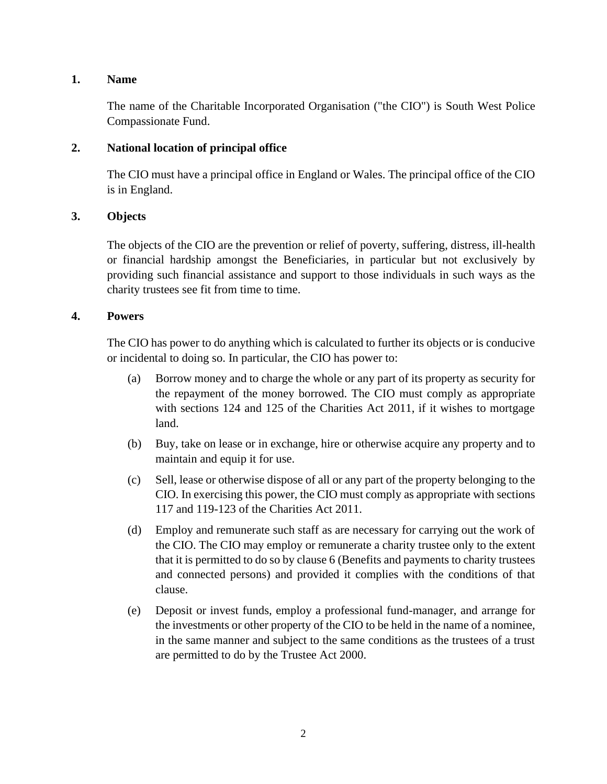# **1. Name**

The name of the Charitable Incorporated Organisation ("the CIO") is South West Police Compassionate Fund.

# **2. National location of principal office**

The CIO must have a principal office in England or Wales. The principal office of the CIO is in England.

#### **3. Objects**

The objects of the CIO are the prevention or relief of poverty, suffering, distress, ill-health or financial hardship amongst the Beneficiaries, in particular but not exclusively by providing such financial assistance and support to those individuals in such ways as the charity trustees see fit from time to time.

# **4. Powers**

The CIO has power to do anything which is calculated to further its objects or is conducive or incidental to doing so. In particular, the CIO has power to:

- (a) Borrow money and to charge the whole or any part of its property as security for the repayment of the money borrowed. The CIO must comply as appropriate with sections 124 and 125 of the Charities Act 2011, if it wishes to mortgage land.
- (b) Buy, take on lease or in exchange, hire or otherwise acquire any property and to maintain and equip it for use.
- (c) Sell, lease or otherwise dispose of all or any part of the property belonging to the CIO. In exercising this power, the CIO must comply as appropriate with sections 117 and 119-123 of the Charities Act 2011.
- (d) Employ and remunerate such staff as are necessary for carrying out the work of the CIO. The CIO may employ or remunerate a charity trustee only to the extent that it is permitted to do so by clause 6 (Benefits and payments to charity trustees and connected persons) and provided it complies with the conditions of that clause.
- (e) Deposit or invest funds, employ a professional fund-manager, and arrange for the investments or other property of the CIO to be held in the name of a nominee, in the same manner and subject to the same conditions as the trustees of a trust are permitted to do by the Trustee Act 2000.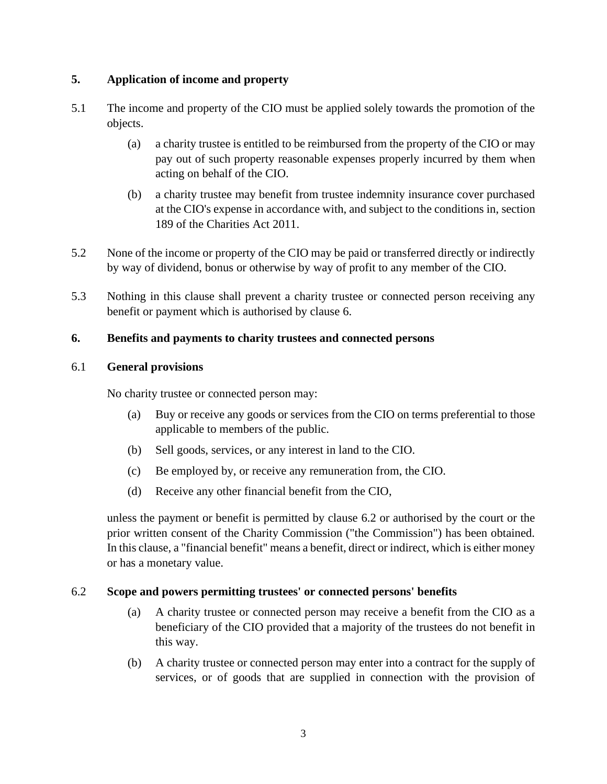# **5. Application of income and property**

- 5.1 The income and property of the CIO must be applied solely towards the promotion of the objects.
	- (a) a charity trustee is entitled to be reimbursed from the property of the CIO or may pay out of such property reasonable expenses properly incurred by them when acting on behalf of the CIO.
	- (b) a charity trustee may benefit from trustee indemnity insurance cover purchased at the CIO's expense in accordance with, and subject to the conditions in, section 189 of the Charities Act 2011.
- 5.2 None of the income or property of the CIO may be paid or transferred directly or indirectly by way of dividend, bonus or otherwise by way of profit to any member of the CIO.
- 5.3 Nothing in this clause shall prevent a charity trustee or connected person receiving any benefit or payment which is authorised by clause 6.

# **6. Benefits and payments to charity trustees and connected persons**

#### 6.1 **General provisions**

No charity trustee or connected person may:

- (a) Buy or receive any goods or services from the CIO on terms preferential to those applicable to members of the public.
- (b) Sell goods, services, or any interest in land to the CIO.
- (c) Be employed by, or receive any remuneration from, the CIO.
- (d) Receive any other financial benefit from the CIO,

unless the payment or benefit is permitted by clause 6.2 or authorised by the court or the prior written consent of the Charity Commission ("the Commission") has been obtained. In this clause, a "financial benefit" means a benefit, direct or indirect, which is either money or has a monetary value.

#### 6.2 **Scope and powers permitting trustees' or connected persons' benefits**

- (a) A charity trustee or connected person may receive a benefit from the CIO as a beneficiary of the CIO provided that a majority of the trustees do not benefit in this way.
- (b) A charity trustee or connected person may enter into a contract for the supply of services, or of goods that are supplied in connection with the provision of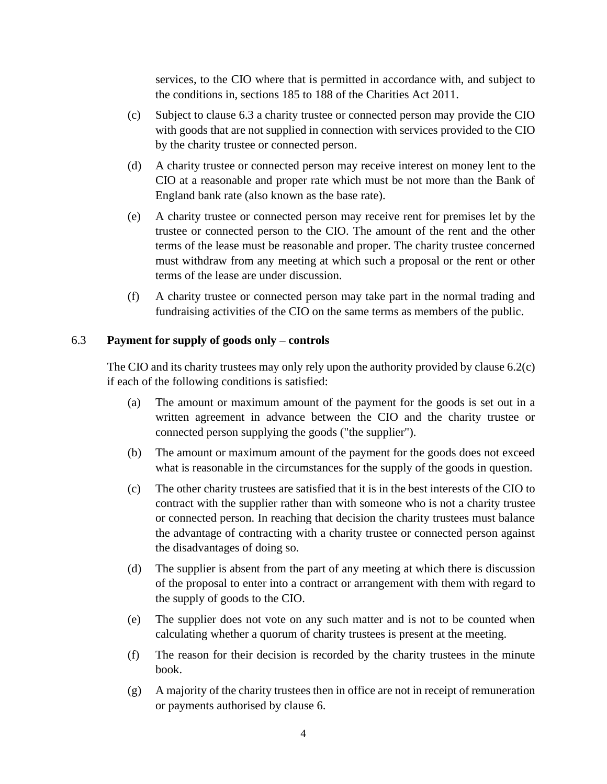services, to the CIO where that is permitted in accordance with, and subject to the conditions in, sections 185 to 188 of the Charities Act 2011.

- <span id="page-3-0"></span>(c) Subject to clause 6.3 a charity trustee or connected person may provide the CIO with goods that are not supplied in connection with services provided to the CIO by the charity trustee or connected person.
- (d) A charity trustee or connected person may receive interest on money lent to the CIO at a reasonable and proper rate which must be not more than the Bank of England bank rate (also known as the base rate).
- (e) A charity trustee or connected person may receive rent for premises let by the trustee or connected person to the CIO. The amount of the rent and the other terms of the lease must be reasonable and proper. The charity trustee concerned must withdraw from any meeting at which such a proposal or the rent or other terms of the lease are under discussion.
- (f) A charity trustee or connected person may take part in the normal trading and fundraising activities of the CIO on the same terms as members of the public.

# 6.3 **Payment for supply of goods only – controls**

The CIO and its charity trustees may only rely upon the authority provided by clause 6.[2\(c\)](#page-3-0) if each of the following conditions is satisfied:

- (a) The amount or maximum amount of the payment for the goods is set out in a written agreement in advance between the CIO and the charity trustee or connected person supplying the goods ("the supplier").
- (b) The amount or maximum amount of the payment for the goods does not exceed what is reasonable in the circumstances for the supply of the goods in question.
- (c) The other charity trustees are satisfied that it is in the best interests of the CIO to contract with the supplier rather than with someone who is not a charity trustee or connected person. In reaching that decision the charity trustees must balance the advantage of contracting with a charity trustee or connected person against the disadvantages of doing so.
- (d) The supplier is absent from the part of any meeting at which there is discussion of the proposal to enter into a contract or arrangement with them with regard to the supply of goods to the CIO.
- (e) The supplier does not vote on any such matter and is not to be counted when calculating whether a quorum of charity trustees is present at the meeting.
- (f) The reason for their decision is recorded by the charity trustees in the minute book.
- (g) A majority of the charity trustees then in office are not in receipt of remuneration or payments authorised by clause 6.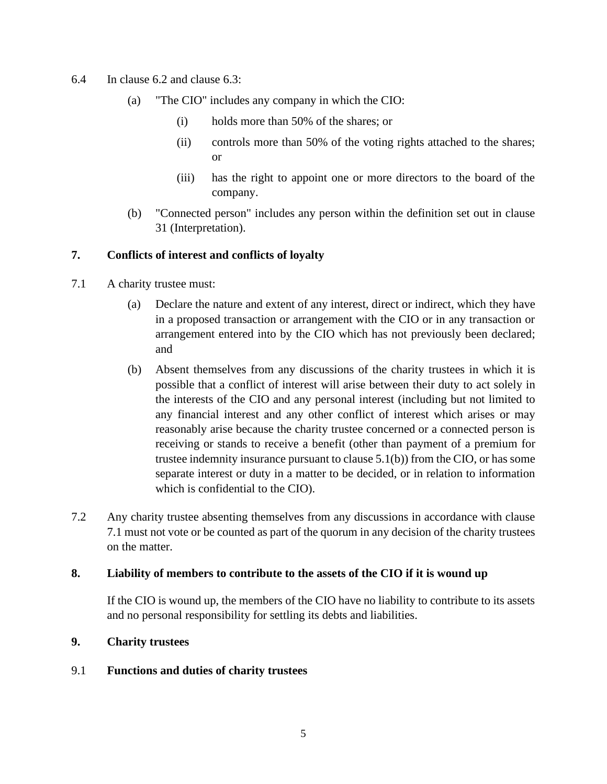- 6.4 In clause 6.2 and clause 6.3:
	- (a) "The CIO" includes any company in which the CIO:
		- (i) holds more than 50% of the shares; or
		- (ii) controls more than 50% of the voting rights attached to the shares; or
		- (iii) has the right to appoint one or more directors to the board of the company.
	- (b) "Connected person" includes any person within the definition set out in clause 31 (Interpretation).

# **7. Conflicts of interest and conflicts of loyalty**

- 7.1 A charity trustee must:
	- (a) Declare the nature and extent of any interest, direct or indirect, which they have in a proposed transaction or arrangement with the CIO or in any transaction or arrangement entered into by the CIO which has not previously been declared; and
	- (b) Absent themselves from any discussions of the charity trustees in which it is possible that a conflict of interest will arise between their duty to act solely in the interests of the CIO and any personal interest (including but not limited to any financial interest and any other conflict of interest which arises or may reasonably arise because the charity trustee concerned or a connected person is receiving or stands to receive a benefit (other than payment of a premium for trustee indemnity insurance pursuant to clause 5.1(b)) from the CIO, or has some separate interest or duty in a matter to be decided, or in relation to information which is confidential to the CIO).
- 7.2 Any charity trustee absenting themselves from any discussions in accordance with clause 7.1 must not vote or be counted as part of the quorum in any decision of the charity trustees on the matter.

#### **8. Liability of members to contribute to the assets of the CIO if it is wound up**

If the CIO is wound up, the members of the CIO have no liability to contribute to its assets and no personal responsibility for settling its debts and liabilities.

#### **9. Charity trustees**

### 9.1 **Functions and duties of charity trustees**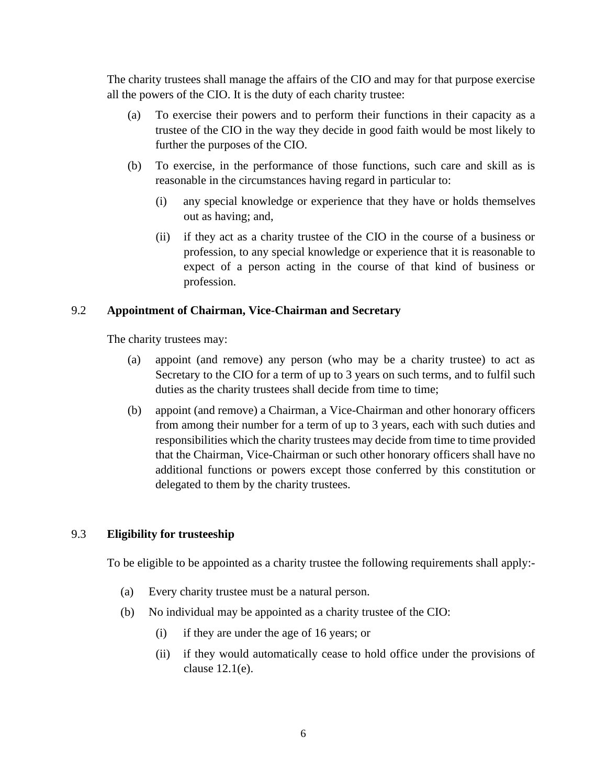The charity trustees shall manage the affairs of the CIO and may for that purpose exercise all the powers of the CIO. It is the duty of each charity trustee:

- (a) To exercise their powers and to perform their functions in their capacity as a trustee of the CIO in the way they decide in good faith would be most likely to further the purposes of the CIO.
- (b) To exercise, in the performance of those functions, such care and skill as is reasonable in the circumstances having regard in particular to:
	- (i) any special knowledge or experience that they have or holds themselves out as having; and,
	- (ii) if they act as a charity trustee of the CIO in the course of a business or profession, to any special knowledge or experience that it is reasonable to expect of a person acting in the course of that kind of business or profession.

# 9.2 **Appointment of Chairman, Vice-Chairman and Secretary**

The charity trustees may:

- (a) appoint (and remove) any person (who may be a charity trustee) to act as Secretary to the CIO for a term of up to 3 years on such terms, and to fulfil such duties as the charity trustees shall decide from time to time;
- (b) appoint (and remove) a Chairman, a Vice-Chairman and other honorary officers from among their number for a term of up to 3 years, each with such duties and responsibilities which the charity trustees may decide from time to time provided that the Chairman, Vice-Chairman or such other honorary officers shall have no additional functions or powers except those conferred by this constitution or delegated to them by the charity trustees.

# 9.3 **Eligibility for trusteeship**

To be eligible to be appointed as a charity trustee the following requirements shall apply:-

- (a) Every charity trustee must be a natural person.
- (b) No individual may be appointed as a charity trustee of the CIO:
	- (i) if they are under the age of 16 years; or
	- (ii) if they would automatically cease to hold office under the provisions of clause 12.1(e).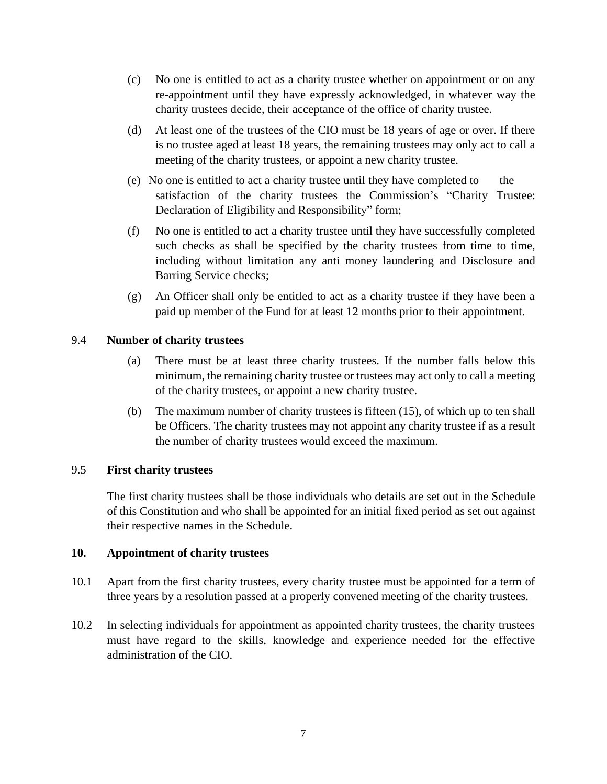- (c) No one is entitled to act as a charity trustee whether on appointment or on any re-appointment until they have expressly acknowledged, in whatever way the charity trustees decide, their acceptance of the office of charity trustee.
- (d) At least one of the trustees of the CIO must be 18 years of age or over. If there is no trustee aged at least 18 years, the remaining trustees may only act to call a meeting of the charity trustees, or appoint a new charity trustee.
- (e) No one is entitled to act a charity trustee until they have completed to the satisfaction of the charity trustees the Commission's "Charity Trustee: Declaration of Eligibility and Responsibility" form;
- (f) No one is entitled to act a charity trustee until they have successfully completed such checks as shall be specified by the charity trustees from time to time, including without limitation any anti money laundering and Disclosure and Barring Service checks;
- (g) An Officer shall only be entitled to act as a charity trustee if they have been a paid up member of the Fund for at least 12 months prior to their appointment.

# 9.4 **Number of charity trustees**

- (a) There must be at least three charity trustees. If the number falls below this minimum, the remaining charity trustee or trustees may act only to call a meeting of the charity trustees, or appoint a new charity trustee.
- (b) The maximum number of charity trustees is fifteen (15), of which up to ten shall be Officers. The charity trustees may not appoint any charity trustee if as a result the number of charity trustees would exceed the maximum.

#### 9.5 **First charity trustees**

The first charity trustees shall be those individuals who details are set out in the Schedule of this Constitution and who shall be appointed for an initial fixed period as set out against their respective names in the Schedule.

#### **10. Appointment of charity trustees**

- 10.1 Apart from the first charity trustees, every charity trustee must be appointed for a term of three years by a resolution passed at a properly convened meeting of the charity trustees.
- 10.2 In selecting individuals for appointment as appointed charity trustees, the charity trustees must have regard to the skills, knowledge and experience needed for the effective administration of the CIO.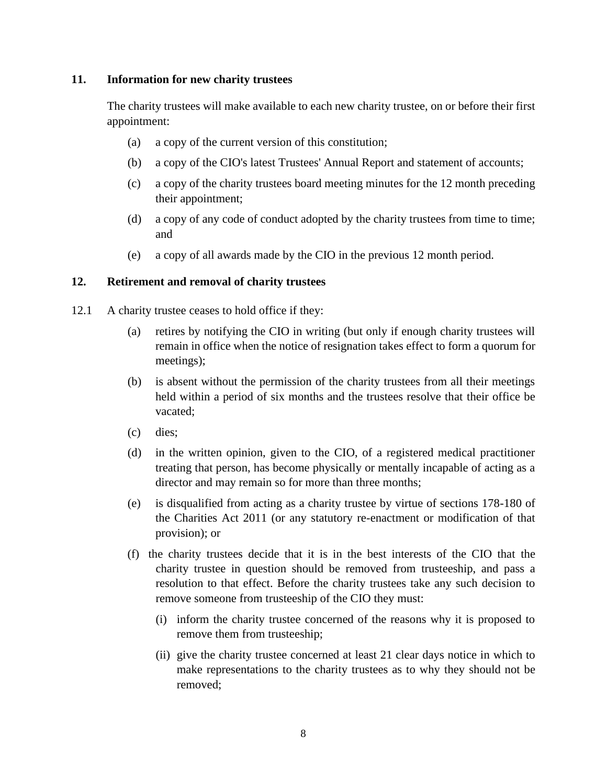### **11. Information for new charity trustees**

The charity trustees will make available to each new charity trustee, on or before their first appointment:

- (a) a copy of the current version of this constitution;
- (b) a copy of the CIO's latest Trustees' Annual Report and statement of accounts;
- (c) a copy of the charity trustees board meeting minutes for the 12 month preceding their appointment;
- (d) a copy of any code of conduct adopted by the charity trustees from time to time; and
- (e) a copy of all awards made by the CIO in the previous 12 month period.

#### **12. Retirement and removal of charity trustees**

- 12.1 A charity trustee ceases to hold office if they:
	- (a) retires by notifying the CIO in writing (but only if enough charity trustees will remain in office when the notice of resignation takes effect to form a quorum for meetings);
	- (b) is absent without the permission of the charity trustees from all their meetings held within a period of six months and the trustees resolve that their office be vacated;
	- (c) dies;
	- (d) in the written opinion, given to the CIO, of a registered medical practitioner treating that person, has become physically or mentally incapable of acting as a director and may remain so for more than three months;
	- (e) is disqualified from acting as a charity trustee by virtue of sections 178-180 of the Charities Act 2011 (or any statutory re-enactment or modification of that provision); or
	- (f) the charity trustees decide that it is in the best interests of the CIO that the charity trustee in question should be removed from trusteeship, and pass a resolution to that effect. Before the charity trustees take any such decision to remove someone from trusteeship of the CIO they must:
		- (i) inform the charity trustee concerned of the reasons why it is proposed to remove them from trusteeship;
		- (ii) give the charity trustee concerned at least 21 clear days notice in which to make representations to the charity trustees as to why they should not be removed;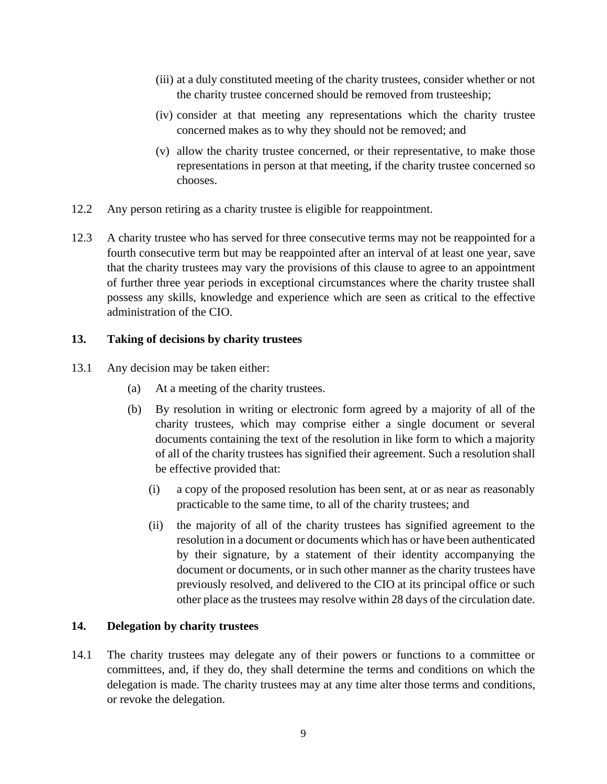- (iii) at a duly constituted meeting of the charity trustees, consider whether or not the charity trustee concerned should be removed from trusteeship;
- (iv) consider at that meeting any representations which the charity trustee concerned makes as to why they should not be removed; and
- (v) allow the charity trustee concerned, or their representative, to make those representations in person at that meeting, if the charity trustee concerned so chooses.
- 12.2 Any person retiring as a charity trustee is eligible for reappointment.
- 12.3 A charity trustee who has served for three consecutive terms may not be reappointed for a fourth consecutive term but may be reappointed after an interval of at least one year, save that the charity trustees may vary the provisions of this clause to agree to an appointment of further three year periods in exceptional circumstances where the charity trustee shall possess any skills, knowledge and experience which are seen as critical to the effective administration of the CIO.

# **13. Taking of decisions by charity trustees**

- 13.1 Any decision may be taken either:
	- (a) At a meeting of the charity trustees.
	- (b) By resolution in writing or electronic form agreed by a majority of all of the charity trustees, which may comprise either a single document or several documents containing the text of the resolution in like form to which a majority of all of the charity trustees has signified their agreement. Such a resolution shall be effective provided that:
		- (i) a copy of the proposed resolution has been sent, at or as near as reasonably practicable to the same time, to all of the charity trustees; and
		- (ii) the majority of all of the charity trustees has signified agreement to the resolution in a document or documents which has or have been authenticated by their signature, by a statement of their identity accompanying the document or documents, or in such other manner as the charity trustees have previously resolved, and delivered to the CIO at its principal office or such other place as the trustees may resolve within 28 days of the circulation date.

### **14. Delegation by charity trustees**

14.1 The charity trustees may delegate any of their powers or functions to a committee or committees, and, if they do, they shall determine the terms and conditions on which the delegation is made. The charity trustees may at any time alter those terms and conditions, or revoke the delegation.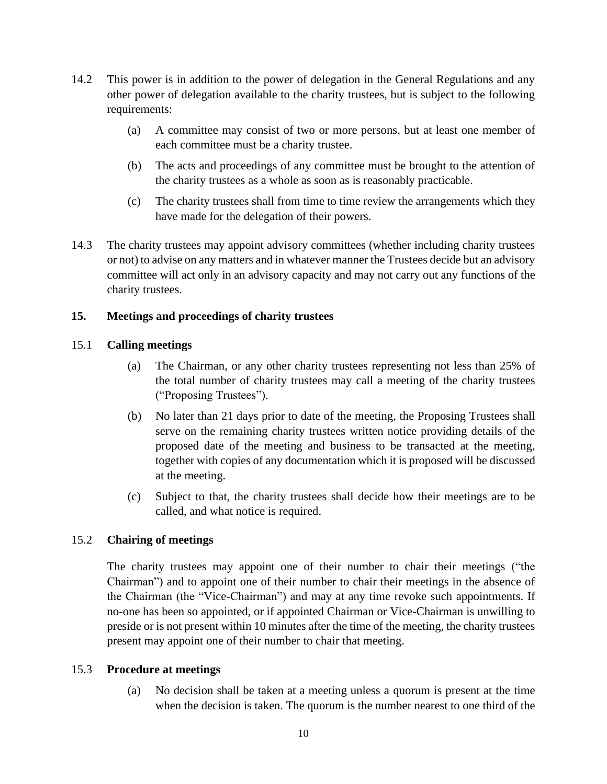- 14.2 This power is in addition to the power of delegation in the General Regulations and any other power of delegation available to the charity trustees, but is subject to the following requirements:
	- (a) A committee may consist of two or more persons, but at least one member of each committee must be a charity trustee.
	- (b) The acts and proceedings of any committee must be brought to the attention of the charity trustees as a whole as soon as is reasonably practicable.
	- (c) The charity trustees shall from time to time review the arrangements which they have made for the delegation of their powers.
- 14.3 The charity trustees may appoint advisory committees (whether including charity trustees or not) to advise on any matters and in whatever manner the Trustees decide but an advisory committee will act only in an advisory capacity and may not carry out any functions of the charity trustees.

# **15. Meetings and proceedings of charity trustees**

# 15.1 **Calling meetings**

- (a) The Chairman, or any other charity trustees representing not less than 25% of the total number of charity trustees may call a meeting of the charity trustees ("Proposing Trustees").
- (b) No later than 21 days prior to date of the meeting, the Proposing Trustees shall serve on the remaining charity trustees written notice providing details of the proposed date of the meeting and business to be transacted at the meeting, together with copies of any documentation which it is proposed will be discussed at the meeting.
- (c) Subject to that, the charity trustees shall decide how their meetings are to be called, and what notice is required.

# 15.2 **Chairing of meetings**

The charity trustees may appoint one of their number to chair their meetings ("the Chairman") and to appoint one of their number to chair their meetings in the absence of the Chairman (the "Vice-Chairman") and may at any time revoke such appointments. If no-one has been so appointed, or if appointed Chairman or Vice-Chairman is unwilling to preside or is not present within 10 minutes after the time of the meeting, the charity trustees present may appoint one of their number to chair that meeting.

# 15.3 **Procedure at meetings**

(a) No decision shall be taken at a meeting unless a quorum is present at the time when the decision is taken. The quorum is the number nearest to one third of the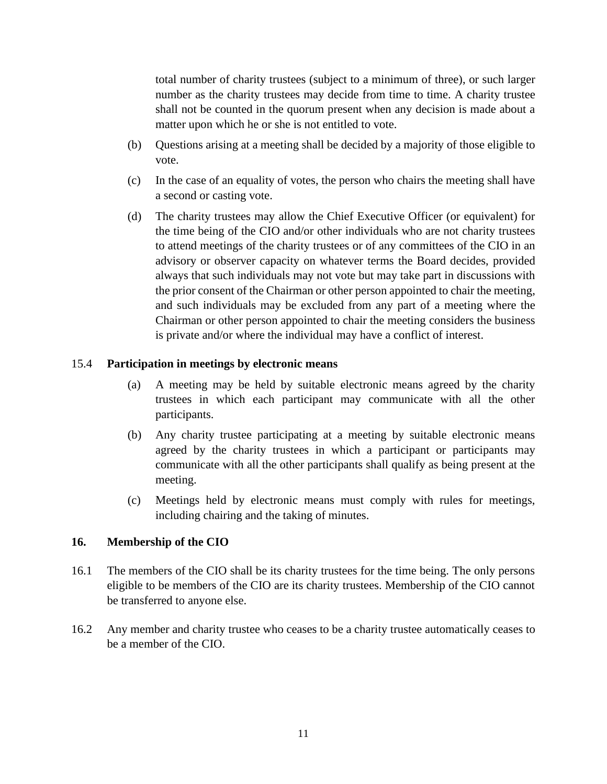total number of charity trustees (subject to a minimum of three), or such larger number as the charity trustees may decide from time to time. A charity trustee shall not be counted in the quorum present when any decision is made about a matter upon which he or she is not entitled to vote.

- (b) Questions arising at a meeting shall be decided by a majority of those eligible to vote.
- (c) In the case of an equality of votes, the person who chairs the meeting shall have a second or casting vote.
- (d) The charity trustees may allow the Chief Executive Officer (or equivalent) for the time being of the CIO and/or other individuals who are not charity trustees to attend meetings of the charity trustees or of any committees of the CIO in an advisory or observer capacity on whatever terms the Board decides, provided always that such individuals may not vote but may take part in discussions with the prior consent of the Chairman or other person appointed to chair the meeting, and such individuals may be excluded from any part of a meeting where the Chairman or other person appointed to chair the meeting considers the business is private and/or where the individual may have a conflict of interest.

#### 15.4 **Participation in meetings by electronic means**

- (a) A meeting may be held by suitable electronic means agreed by the charity trustees in which each participant may communicate with all the other participants.
- (b) Any charity trustee participating at a meeting by suitable electronic means agreed by the charity trustees in which a participant or participants may communicate with all the other participants shall qualify as being present at the meeting.
- (c) Meetings held by electronic means must comply with rules for meetings, including chairing and the taking of minutes.

#### **16. Membership of the CIO**

- 16.1 The members of the CIO shall be its charity trustees for the time being. The only persons eligible to be members of the CIO are its charity trustees. Membership of the CIO cannot be transferred to anyone else.
- 16.2 Any member and charity trustee who ceases to be a charity trustee automatically ceases to be a member of the CIO.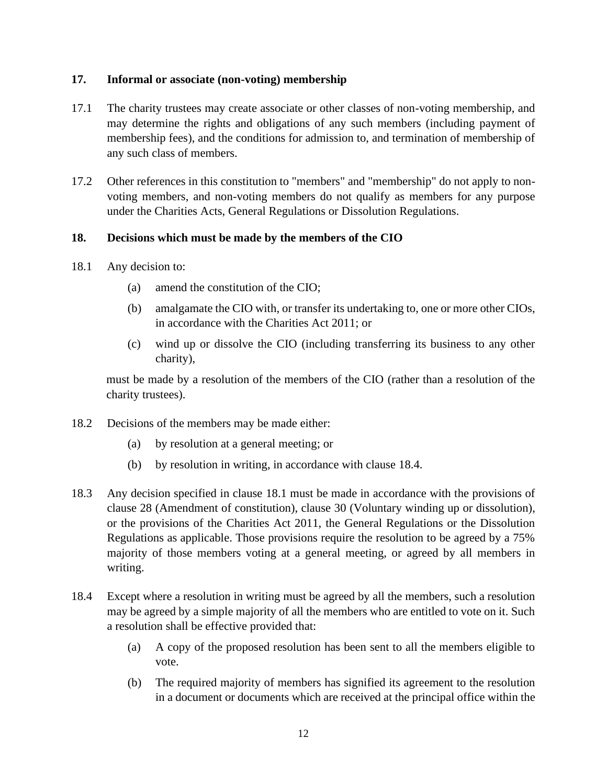# **17. Informal or associate (non-voting) membership**

- 17.1 The charity trustees may create associate or other classes of non-voting membership, and may determine the rights and obligations of any such members (including payment of membership fees), and the conditions for admission to, and termination of membership of any such class of members.
- 17.2 Other references in this constitution to "members" and "membership" do not apply to nonvoting members, and non-voting members do not qualify as members for any purpose under the Charities Acts, General Regulations or Dissolution Regulations.

# **18. Decisions which must be made by the members of the CIO**

- 18.1 Any decision to:
	- (a) amend the constitution of the CIO;
	- (b) amalgamate the CIO with, or transfer its undertaking to, one or more other CIOs, in accordance with the Charities Act 2011; or
	- (c) wind up or dissolve the CIO (including transferring its business to any other charity),

must be made by a resolution of the members of the CIO (rather than a resolution of the charity trustees).

- 18.2 Decisions of the members may be made either:
	- (a) by resolution at a general meeting; or
	- (b) by resolution in writing, in accordance with clause 18.4.
- 18.3 Any decision specified in clause 18.1 must be made in accordance with the provisions of clause 28 (Amendment of constitution), clause 30 (Voluntary winding up or dissolution), or the provisions of the Charities Act 2011, the General Regulations or the Dissolution Regulations as applicable. Those provisions require the resolution to be agreed by a 75% majority of those members voting at a general meeting, or agreed by all members in writing.
- 18.4 Except where a resolution in writing must be agreed by all the members, such a resolution may be agreed by a simple majority of all the members who are entitled to vote on it. Such a resolution shall be effective provided that:
	- (a) A copy of the proposed resolution has been sent to all the members eligible to vote.
	- (b) The required majority of members has signified its agreement to the resolution in a document or documents which are received at the principal office within the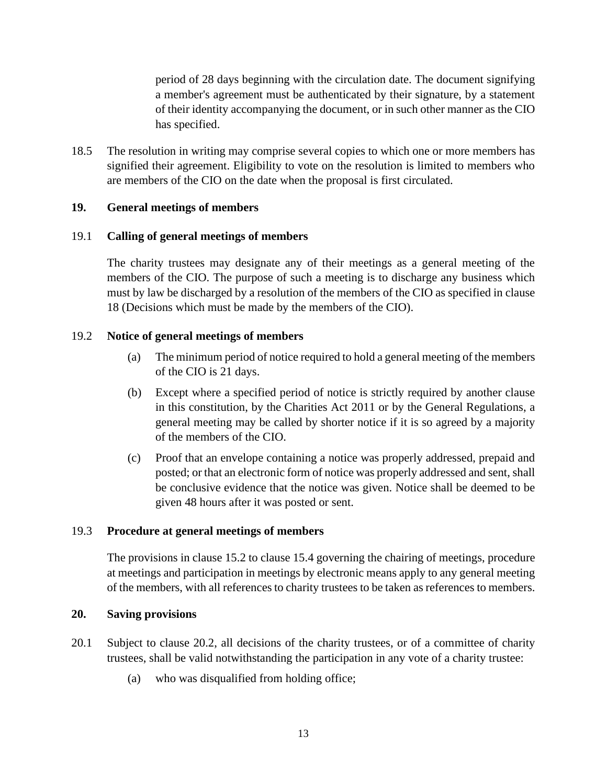period of 28 days beginning with the circulation date. The document signifying a member's agreement must be authenticated by their signature, by a statement of their identity accompanying the document, or in such other manner as the CIO has specified.

18.5 The resolution in writing may comprise several copies to which one or more members has signified their agreement. Eligibility to vote on the resolution is limited to members who are members of the CIO on the date when the proposal is first circulated.

# **19. General meetings of members**

# 19.1 **Calling of general meetings of members**

The charity trustees may designate any of their meetings as a general meeting of the members of the CIO. The purpose of such a meeting is to discharge any business which must by law be discharged by a resolution of the members of the CIO as specified in clause 18 (Decisions which must be made by the members of the CIO).

# 19.2 **Notice of general meetings of members**

- (a) The minimum period of notice required to hold a general meeting of the members of the CIO is 21 days.
- (b) Except where a specified period of notice is strictly required by another clause in this constitution, by the Charities Act 2011 or by the General Regulations, a general meeting may be called by shorter notice if it is so agreed by a majority of the members of the CIO.
- (c) Proof that an envelope containing a notice was properly addressed, prepaid and posted; or that an electronic form of notice was properly addressed and sent, shall be conclusive evidence that the notice was given. Notice shall be deemed to be given 48 hours after it was posted or sent.

#### 19.3 **Procedure at general meetings of members**

The provisions in clause 15.2 to clause 15.4 governing the chairing of meetings, procedure at meetings and participation in meetings by electronic means apply to any general meeting of the members, with all references to charity trustees to be taken as references to members.

#### **20. Saving provisions**

- <span id="page-12-0"></span>20.1 Subject to clause [20.2,](#page-13-0) all decisions of the charity trustees, or of a committee of charity trustees, shall be valid notwithstanding the participation in any vote of a charity trustee:
	- (a) who was disqualified from holding office;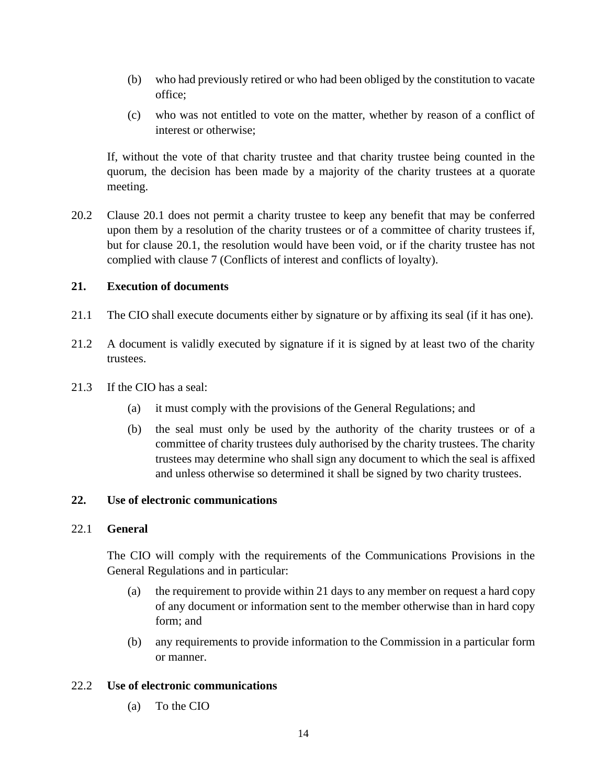- (b) who had previously retired or who had been obliged by the constitution to vacate office;
- (c) who was not entitled to vote on the matter, whether by reason of a conflict of interest or otherwise;

If, without the vote of that charity trustee and that charity trustee being counted in the quorum, the decision has been made by a majority of the charity trustees at a quorate meeting.

<span id="page-13-0"></span>20.2 Clause [20.1](#page-12-0) does not permit a charity trustee to keep any benefit that may be conferred upon them by a resolution of the charity trustees or of a committee of charity trustees if, but for clause [20.1,](#page-12-0) the resolution would have been void, or if the charity trustee has not complied with clause 7 (Conflicts of interest and conflicts of loyalty).

# **21. Execution of documents**

- 21.1 The CIO shall execute documents either by signature or by affixing its seal (if it has one).
- 21.2 A document is validly executed by signature if it is signed by at least two of the charity trustees.
- 21.3 If the CIO has a seal:
	- (a) it must comply with the provisions of the General Regulations; and
	- (b) the seal must only be used by the authority of the charity trustees or of a committee of charity trustees duly authorised by the charity trustees. The charity trustees may determine who shall sign any document to which the seal is affixed and unless otherwise so determined it shall be signed by two charity trustees.

#### **22. Use of electronic communications**

#### 22.1 **General**

The CIO will comply with the requirements of the Communications Provisions in the General Regulations and in particular:

- (a) the requirement to provide within 21 days to any member on request a hard copy of any document or information sent to the member otherwise than in hard copy form; and
- (b) any requirements to provide information to the Commission in a particular form or manner.

### 22.2 **Use of electronic communications**

(a) To the CIO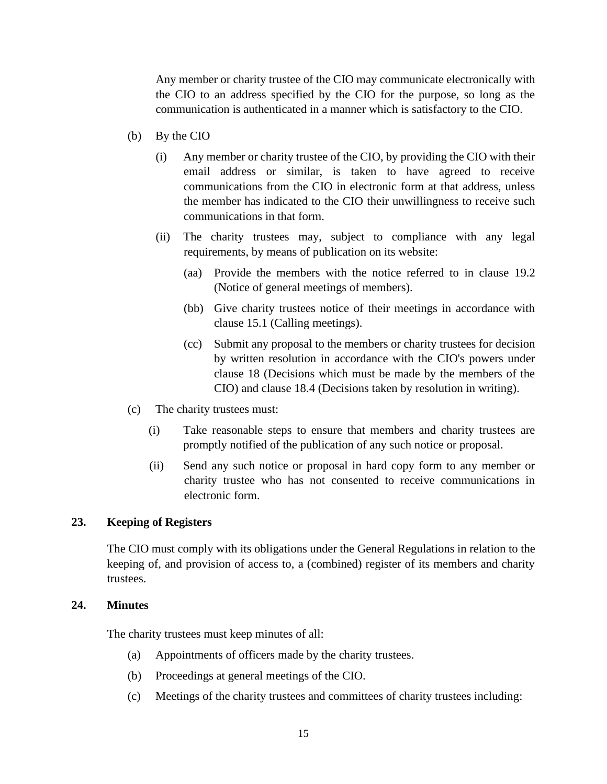Any member or charity trustee of the CIO may communicate electronically with the CIO to an address specified by the CIO for the purpose, so long as the communication is authenticated in a manner which is satisfactory to the CIO.

- (b) By the CIO
	- (i) Any member or charity trustee of the CIO, by providing the CIO with their email address or similar, is taken to have agreed to receive communications from the CIO in electronic form at that address, unless the member has indicated to the CIO their unwillingness to receive such communications in that form.
	- (ii) The charity trustees may, subject to compliance with any legal requirements, by means of publication on its website:
		- (aa) Provide the members with the notice referred to in clause 19.2 (Notice of general meetings of members).
		- (bb) Give charity trustees notice of their meetings in accordance with clause 15.1 (Calling meetings).
		- (cc) Submit any proposal to the members or charity trustees for decision by written resolution in accordance with the CIO's powers under clause 18 (Decisions which must be made by the members of the CIO) and clause 18.4 (Decisions taken by resolution in writing).
- (c) The charity trustees must:
	- (i) Take reasonable steps to ensure that members and charity trustees are promptly notified of the publication of any such notice or proposal.
	- (ii) Send any such notice or proposal in hard copy form to any member or charity trustee who has not consented to receive communications in electronic form.

# **23. Keeping of Registers**

The CIO must comply with its obligations under the General Regulations in relation to the keeping of, and provision of access to, a (combined) register of its members and charity trustees.

#### **24. Minutes**

The charity trustees must keep minutes of all:

- (a) Appointments of officers made by the charity trustees.
- (b) Proceedings at general meetings of the CIO.
- (c) Meetings of the charity trustees and committees of charity trustees including: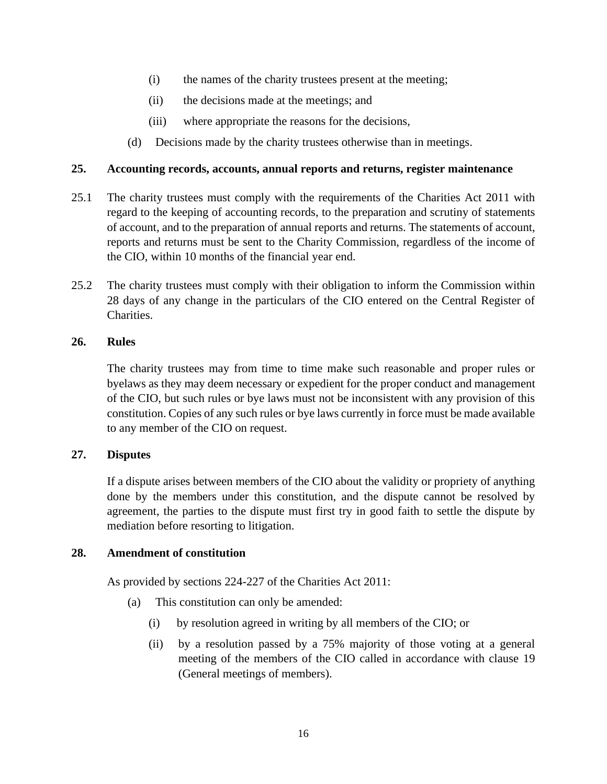- (i) the names of the charity trustees present at the meeting;
- (ii) the decisions made at the meetings; and
- (iii) where appropriate the reasons for the decisions,
- (d) Decisions made by the charity trustees otherwise than in meetings.

### **25. Accounting records, accounts, annual reports and returns, register maintenance**

- 25.1 The charity trustees must comply with the requirements of the Charities Act 2011 with regard to the keeping of accounting records, to the preparation and scrutiny of statements of account, and to the preparation of annual reports and returns. The statements of account, reports and returns must be sent to the Charity Commission, regardless of the income of the CIO, within 10 months of the financial year end.
- 25.2 The charity trustees must comply with their obligation to inform the Commission within 28 days of any change in the particulars of the CIO entered on the Central Register of Charities.

# **26. Rules**

The charity trustees may from time to time make such reasonable and proper rules or byelaws as they may deem necessary or expedient for the proper conduct and management of the CIO, but such rules or bye laws must not be inconsistent with any provision of this constitution. Copies of any such rules or bye laws currently in force must be made available to any member of the CIO on request.

# **27. Disputes**

If a dispute arises between members of the CIO about the validity or propriety of anything done by the members under this constitution, and the dispute cannot be resolved by agreement, the parties to the dispute must first try in good faith to settle the dispute by mediation before resorting to litigation.

#### **28. Amendment of constitution**

As provided by sections 224-227 of the Charities Act 2011:

- (a) This constitution can only be amended:
	- (i) by resolution agreed in writing by all members of the CIO; or
	- (ii) by a resolution passed by a 75% majority of those voting at a general meeting of the members of the CIO called in accordance with clause 19 (General meetings of members).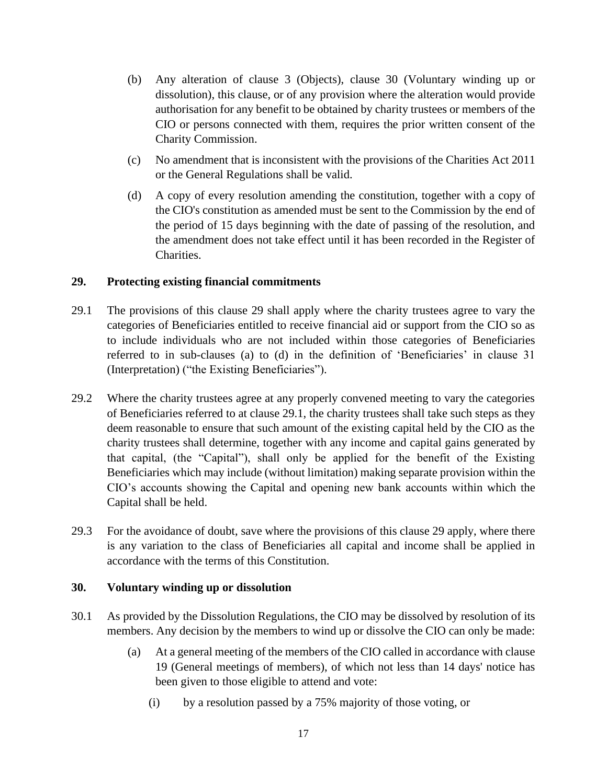- (b) Any alteration of clause 3 (Objects), clause 30 (Voluntary winding up or dissolution), this clause, or of any provision where the alteration would provide authorisation for any benefit to be obtained by charity trustees or members of the CIO or persons connected with them, requires the prior written consent of the Charity Commission.
- (c) No amendment that is inconsistent with the provisions of the Charities Act 2011 or the General Regulations shall be valid.
- (d) A copy of every resolution amending the constitution, together with a copy of the CIO's constitution as amended must be sent to the Commission by the end of the period of 15 days beginning with the date of passing of the resolution, and the amendment does not take effect until it has been recorded in the Register of Charities.

# **29. Protecting existing financial commitments**

- 29.1 The provisions of this clause 29 shall apply where the charity trustees agree to vary the categories of Beneficiaries entitled to receive financial aid or support from the CIO so as to include individuals who are not included within those categories of Beneficiaries referred to in sub-clauses (a) to (d) in the definition of 'Beneficiaries' in clause 31 (Interpretation) ("the Existing Beneficiaries").
- 29.2 Where the charity trustees agree at any properly convened meeting to vary the categories of Beneficiaries referred to at clause 29.1, the charity trustees shall take such steps as they deem reasonable to ensure that such amount of the existing capital held by the CIO as the charity trustees shall determine, together with any income and capital gains generated by that capital, (the "Capital"), shall only be applied for the benefit of the Existing Beneficiaries which may include (without limitation) making separate provision within the CIO's accounts showing the Capital and opening new bank accounts within which the Capital shall be held.
- 29.3 For the avoidance of doubt, save where the provisions of this clause 29 apply, where there is any variation to the class of Beneficiaries all capital and income shall be applied in accordance with the terms of this Constitution.

#### **30. Voluntary winding up or dissolution**

- 30.1 As provided by the Dissolution Regulations, the CIO may be dissolved by resolution of its members. Any decision by the members to wind up or dissolve the CIO can only be made:
	- (a) At a general meeting of the members of the CIO called in accordance with clause 19 (General meetings of members), of which not less than 14 days' notice has been given to those eligible to attend and vote:
		- (i) by a resolution passed by a 75% majority of those voting, or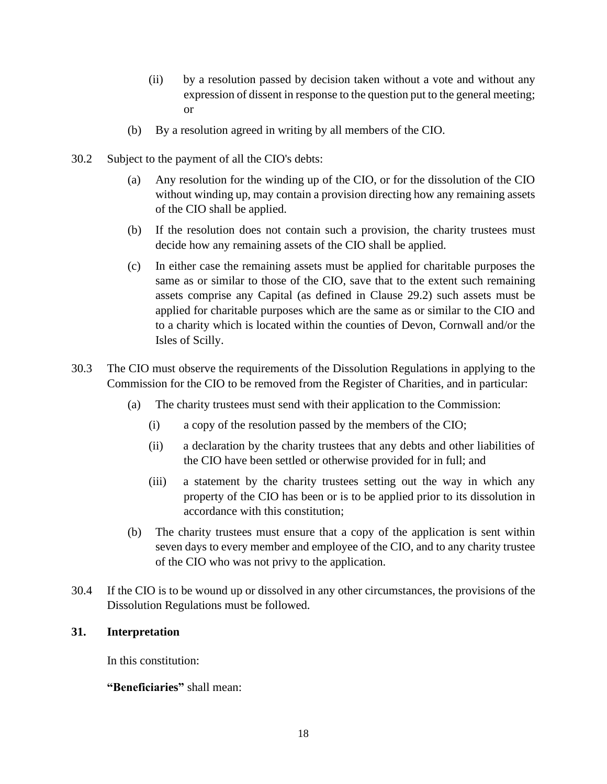- (ii) by a resolution passed by decision taken without a vote and without any expression of dissent in response to the question put to the general meeting; or
- (b) By a resolution agreed in writing by all members of the CIO.
- 30.2 Subject to the payment of all the CIO's debts:
	- (a) Any resolution for the winding up of the CIO, or for the dissolution of the CIO without winding up, may contain a provision directing how any remaining assets of the CIO shall be applied.
	- (b) If the resolution does not contain such a provision, the charity trustees must decide how any remaining assets of the CIO shall be applied.
	- (c) In either case the remaining assets must be applied for charitable purposes the same as or similar to those of the CIO, save that to the extent such remaining assets comprise any Capital (as defined in Clause 29.2) such assets must be applied for charitable purposes which are the same as or similar to the CIO and to a charity which is located within the counties of Devon, Cornwall and/or the Isles of Scilly.
- 30.3 The CIO must observe the requirements of the Dissolution Regulations in applying to the Commission for the CIO to be removed from the Register of Charities, and in particular:
	- (a) The charity trustees must send with their application to the Commission:
		- (i) a copy of the resolution passed by the members of the CIO;
		- (ii) a declaration by the charity trustees that any debts and other liabilities of the CIO have been settled or otherwise provided for in full; and
		- (iii) a statement by the charity trustees setting out the way in which any property of the CIO has been or is to be applied prior to its dissolution in accordance with this constitution;
	- (b) The charity trustees must ensure that a copy of the application is sent within seven days to every member and employee of the CIO, and to any charity trustee of the CIO who was not privy to the application.
- 30.4 If the CIO is to be wound up or dissolved in any other circumstances, the provisions of the Dissolution Regulations must be followed.

# **31. Interpretation**

In this constitution:

**"Beneficiaries"** shall mean: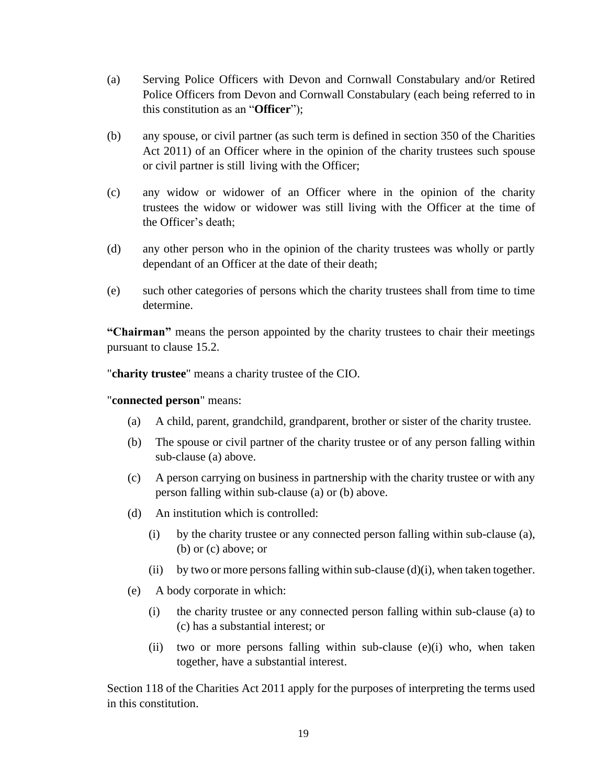- (a) Serving Police Officers with Devon and Cornwall Constabulary and/or Retired Police Officers from Devon and Cornwall Constabulary (each being referred to in this constitution as an "**Officer**");
- (b) any spouse, or civil partner (as such term is defined in section 350 of the Charities Act 2011) of an Officer where in the opinion of the charity trustees such spouse or civil partner is still living with the Officer;
- (c) any widow or widower of an Officer where in the opinion of the charity trustees the widow or widower was still living with the Officer at the time of the Officer's death;
- (d) any other person who in the opinion of the charity trustees was wholly or partly dependant of an Officer at the date of their death;
- (e) such other categories of persons which the charity trustees shall from time to time determine.

**"Chairman"** means the person appointed by the charity trustees to chair their meetings pursuant to clause 15.2.

"**charity trustee**" means a charity trustee of the CIO.

#### "**connected person**" means:

- (a) A child, parent, grandchild, grandparent, brother or sister of the charity trustee.
- (b) The spouse or civil partner of the charity trustee or of any person falling within sub-clause (a) above.
- (c) A person carrying on business in partnership with the charity trustee or with any person falling within sub-clause (a) or (b) above.
- (d) An institution which is controlled:
	- (i) by the charity trustee or any connected person falling within sub-clause (a), (b) or (c) above; or
	- (ii) by two or more persons falling within sub-clause  $(d)(i)$ , when taken together.
- (e) A body corporate in which:
	- (i) the charity trustee or any connected person falling within sub-clause (a) to (c) has a substantial interest; or
	- (ii) two or more persons falling within sub-clause (e)(i) who, when taken together, have a substantial interest.

Section 118 of the Charities Act 2011 apply for the purposes of interpreting the terms used in this constitution.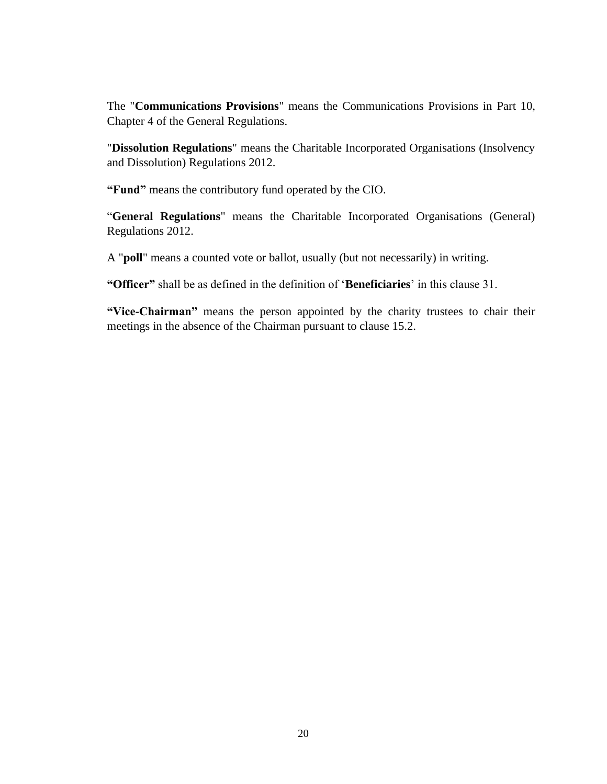The "**Communications Provisions**" means the Communications Provisions in Part 10, Chapter 4 of the General Regulations.

"**Dissolution Regulations**" means the Charitable Incorporated Organisations (Insolvency and Dissolution) Regulations 2012.

**"Fund"** means the contributory fund operated by the CIO.

"**General Regulations**" means the Charitable Incorporated Organisations (General) Regulations 2012.

A "**poll**" means a counted vote or ballot, usually (but not necessarily) in writing.

**"Officer"** shall be as defined in the definition of '**Beneficiaries**' in this clause 31.

**"Vice-Chairman"** means the person appointed by the charity trustees to chair their meetings in the absence of the Chairman pursuant to clause 15.2.